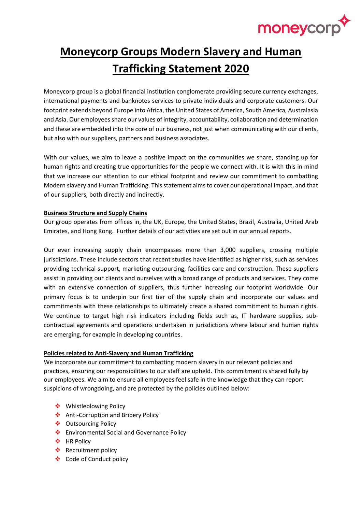

# **Moneycorp Groups Modern Slavery and Human Trafficking Statement 2020**

Moneycorp group is a global financial institution conglomerate providing secure currency exchanges, international payments and banknotes services to private individuals and corporate customers. Our footprint extends beyond Europe into Africa, the United States of America, South America, Australasia and Asia. Our employees share our values of integrity, accountability, collaboration and determination and these are embedded into the core of our business, not just when communicating with our clients, but also with our suppliers, partners and business associates.

With our values, we aim to leave a positive impact on the communities we share, standing up for human rights and creating true opportunities for the people we connect with. It is with this in mind that we increase our attention to our ethical footprint and review our commitment to combatting Modern slavery and Human Trafficking. This statement aims to cover our operational impact, and that of our suppliers, both directly and indirectly.

### **Business Structure and Supply Chains**

Our group operates from offices in, the UK, Europe, the United States, Brazil, Australia, United Arab Emirates, and Hong Kong. Further details of our activities are set out in our annual reports.

Our ever increasing supply chain encompasses more than 3,000 suppliers, crossing multiple jurisdictions. These include sectors that recent studies have identified as higher risk, such as services providing technical support, marketing outsourcing, facilities care and construction. These suppliers assist in providing our clients and ourselves with a broad range of products and services. They come with an extensive connection of suppliers, thus further increasing our footprint worldwide. Our primary focus is to underpin our first tier of the supply chain and incorporate our values and commitments with these relationships to ultimately create a shared commitment to human rights. We continue to target high risk indicators including fields such as, IT hardware supplies, subcontractual agreements and operations undertaken in jurisdictions where labour and human rights are emerging, for example in developing countries.

## **Policies related to Anti-Slavery and Human Trafficking**

We incorporate our commitment to combatting modern slavery in our relevant policies and practices, ensuring our responsibilities to our staff are upheld. This commitment is shared fully by our employees. We aim to ensure all employees feel safe in the knowledge that they can report suspicions of wrongdoing, and are protected by the policies outlined below:

- ❖ Whistleblowing Policy
- ❖ Anti-Corruption and Bribery Policy
- ❖ Outsourcing Policy
- ❖ Environmental Social and Governance Policy
- ❖ HR Policy
- ❖ Recruitment policy
- ❖ Code of Conduct policy